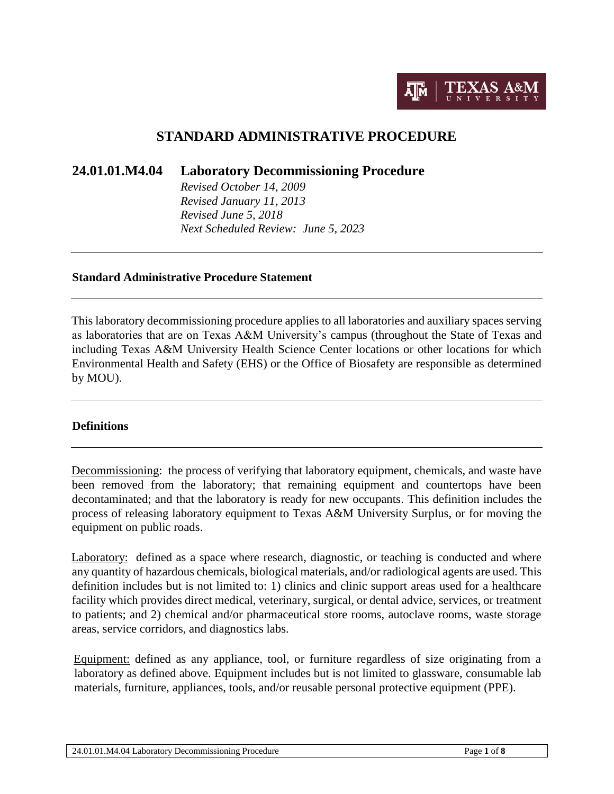

# **STANDARD ADMINISTRATIVE PROCEDURE**

**24.01.01.M4.04 Laboratory Decommissioning Procedure**

*Revised October 14, 2009 Revised January 11, 2013 Revised June 5, 2018 Next Scheduled Review: June 5, 2023*

#### **Standard Administrative Procedure Statement**

This laboratory decommissioning procedure applies to all laboratories and auxiliary spaces serving as laboratories that are on Texas A&M University's campus (throughout the State of Texas and including Texas A&M University Health Science Center locations or other locations for which Environmental Health and Safety (EHS) or the Office of Biosafety are responsible as determined by MOU).

#### **Definitions**

Decommissioning: the process of verifying that laboratory equipment, chemicals, and waste have been removed from the laboratory; that remaining equipment and countertops have been decontaminated; and that the laboratory is ready for new occupants. This definition includes the process of releasing laboratory equipment to Texas A&M University Surplus, or for moving the equipment on public roads.

Laboratory: defined as a space where research, diagnostic, or teaching is conducted and where any quantity of hazardous chemicals, biological materials, and/or radiological agents are used. This definition includes but is not limited to: 1) clinics and clinic support areas used for a healthcare facility which provides direct medical, veterinary, surgical, or dental advice, services, or treatment to patients; and 2) chemical and/or pharmaceutical store rooms, autoclave rooms, waste storage areas, service corridors, and diagnostics labs.

Equipment: defined as any appliance, tool, or furniture regardless of size originating from a laboratory as defined above. Equipment includes but is not limited to glassware, consumable lab materials, furniture, appliances, tools, and/or reusable personal protective equipment (PPE).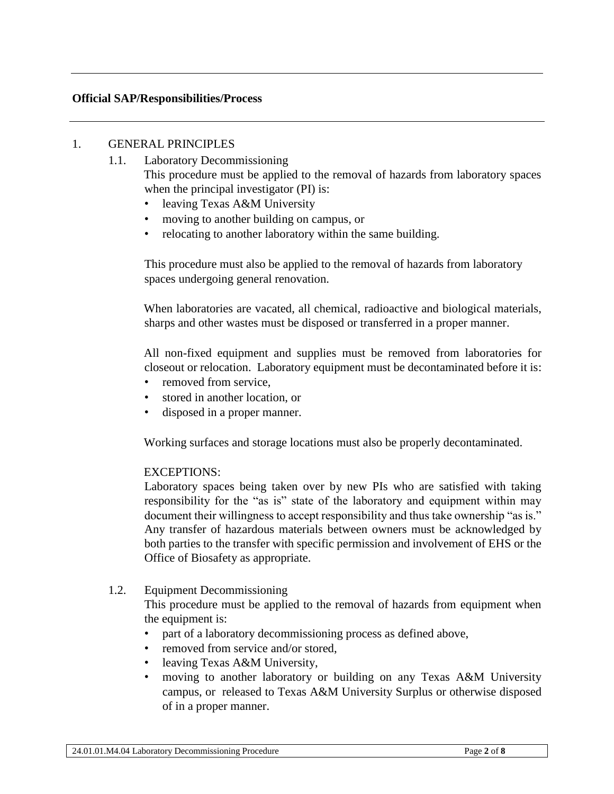#### **Official SAP/Responsibilities/Process**

#### 1. GENERAL PRINCIPLES

- 1.1. Laboratory Decommissioning This procedure must be applied to the removal of hazards from laboratory spaces when the principal investigator (PI) is:
	- leaving Texas A&M University
	- moving to another building on campus, or
	- relocating to another laboratory within the same building.

This procedure must also be applied to the removal of hazards from laboratory spaces undergoing general renovation.

When laboratories are vacated, all chemical, radioactive and biological materials, sharps and other wastes must be disposed or transferred in a proper manner.

All non-fixed equipment and supplies must be removed from laboratories for closeout or relocation. Laboratory equipment must be decontaminated before it is:

- removed from service,
- stored in another location, or
- disposed in a proper manner.

Working surfaces and storage locations must also be properly decontaminated.

#### EXCEPTIONS:

Laboratory spaces being taken over by new PIs who are satisfied with taking responsibility for the "as is" state of the laboratory and equipment within may document their willingness to accept responsibility and thus take ownership "as is." Any transfer of hazardous materials between owners must be acknowledged by both parties to the transfer with specific permission and involvement of EHS or the Office of Biosafety as appropriate.

## 1.2. Equipment Decommissioning

This procedure must be applied to the removal of hazards from equipment when the equipment is:

- part of a laboratory decommissioning process as defined above,
- removed from service and/or stored,
- leaving Texas A&M University,
- moving to another laboratory or building on any Texas A&M University campus, or released to Texas A&M University Surplus or otherwise disposed of in a proper manner.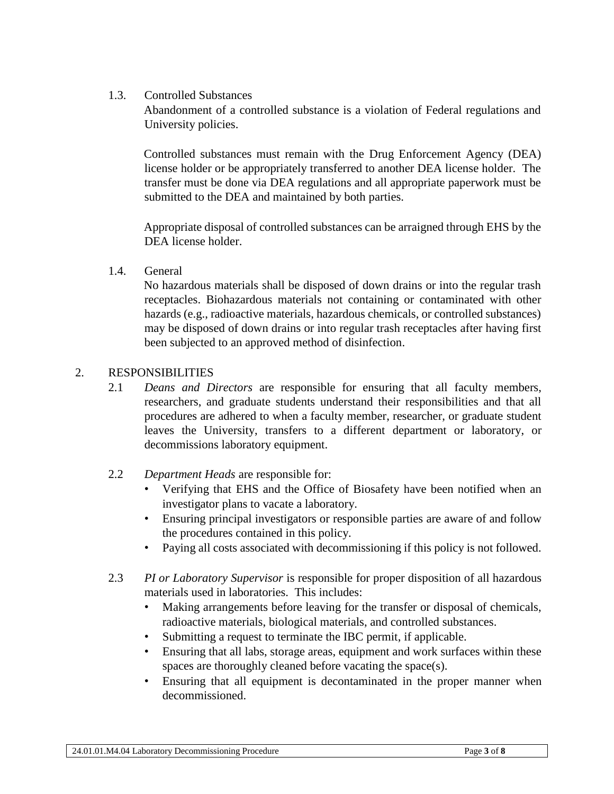1.3. Controlled Substances

Abandonment of a controlled substance is a violation of Federal regulations and University policies.

Controlled substances must remain with the Drug Enforcement Agency (DEA) license holder or be appropriately transferred to another DEA license holder. The transfer must be done via DEA regulations and all appropriate paperwork must be submitted to the DEA and maintained by both parties.

Appropriate disposal of controlled substances can be arraigned through EHS by the DEA license holder.

1.4. General

No hazardous materials shall be disposed of down drains or into the regular trash receptacles. Biohazardous materials not containing or contaminated with other hazards (e.g., radioactive materials, hazardous chemicals, or controlled substances) may be disposed of down drains or into regular trash receptacles after having first been subjected to an approved method of disinfection.

### 2. RESPONSIBILITIES

- 2.1 *Deans and Directors* are responsible for ensuring that all faculty members, researchers, and graduate students understand their responsibilities and that all procedures are adhered to when a faculty member, researcher, or graduate student leaves the University, transfers to a different department or laboratory, or decommissions laboratory equipment.
- 2.2 *Department Heads* are responsible for:
	- Verifying that EHS and the Office of Biosafety have been notified when an investigator plans to vacate a laboratory.
	- Ensuring principal investigators or responsible parties are aware of and follow the procedures contained in this policy.
	- Paying all costs associated with decommissioning if this policy is not followed.
- 2.3 *PI or Laboratory Supervisor* is responsible for proper disposition of all hazardous materials used in laboratories. This includes:
	- Making arrangements before leaving for the transfer or disposal of chemicals, radioactive materials, biological materials, and controlled substances.
	- Submitting a request to terminate the IBC permit, if applicable.
	- Ensuring that all labs, storage areas, equipment and work surfaces within these spaces are thoroughly cleaned before vacating the space(s).
	- Ensuring that all equipment is decontaminated in the proper manner when decommissioned.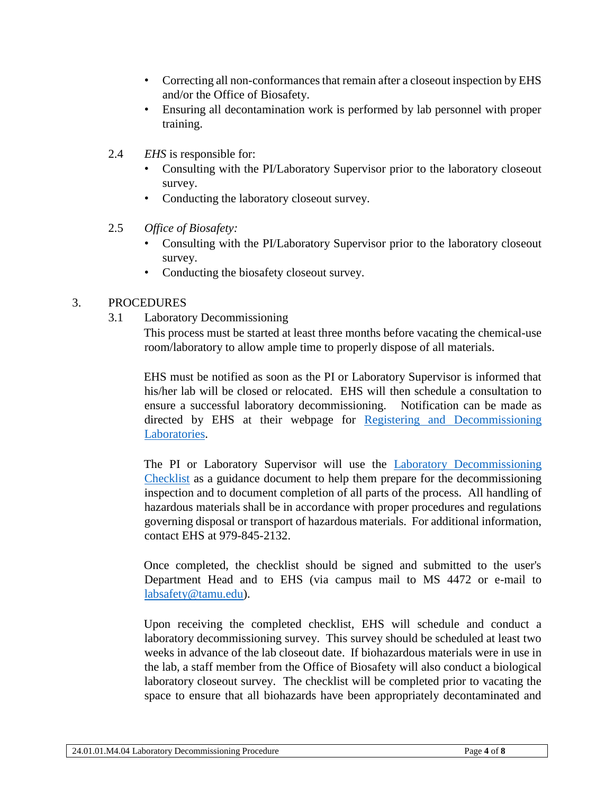- Correcting all non-conformances that remain after a closeout inspection by EHS and/or the Office of Biosafety.
- Ensuring all decontamination work is performed by lab personnel with proper training.
- 2.4 *EHS* is responsible for:
	- Consulting with the PI/Laboratory Supervisor prior to the laboratory closeout survey.
	- Conducting the laboratory closeout survey.
- 2.5 *Office of Biosafety:*
	- Consulting with the PI/Laboratory Supervisor prior to the laboratory closeout survey.
	- Conducting the biosafety closeout survey.

## 3. PROCEDURES

3.1 Laboratory Decommissioning

This process must be started at least three months before vacating the chemical-use room/laboratory to allow ample time to properly dispose of all materials.

EHS must be notified as soon as the PI or Laboratory Supervisor is informed that his/her lab will be closed or relocated. EHS will then schedule a consultation to ensure a successful laboratory decommissioning. Notification can be made as directed by EHS at their webpage for Registering and [Decommissioning](https://ehsd.tamu.edu/Pages/Lab-RegDecom.aspx) Laboratories.

The PI or Laboratory Supervisor will use the [Laboratory Decommissioning](https://ehsd.tamu.edu/Lab%20Safety%20Forms/Laboratory%20Decommissioning%20Checklist.pdf)  [Checklist](https://ehsd.tamu.edu/Lab%20Safety%20Forms/Laboratory%20Decommissioning%20Checklist.pdf) as a guidance document to help them prepare for the decommissioning inspection and to document completion of all parts of the process. All handling of hazardous materials shall be in accordance with proper procedures and regulations governing disposal or transport of hazardous materials. For additional information, contact EHS at 979-845-2132.

Once completed, the checklist should be signed and submitted to the user's Department Head and to EHS (via campus mail to MS 4472 or e-mail to [labsafety@tamu.edu\)](mailto:labsafety@tamu.edu).

Upon receiving the completed checklist, EHS will schedule and conduct a laboratory decommissioning survey. This survey should be scheduled at least two weeks in advance of the lab closeout date. If biohazardous materials were in use in the lab, a staff member from the Office of Biosafety will also conduct a biological laboratory closeout survey. The checklist will be completed prior to vacating the space to ensure that all biohazards have been appropriately decontaminated and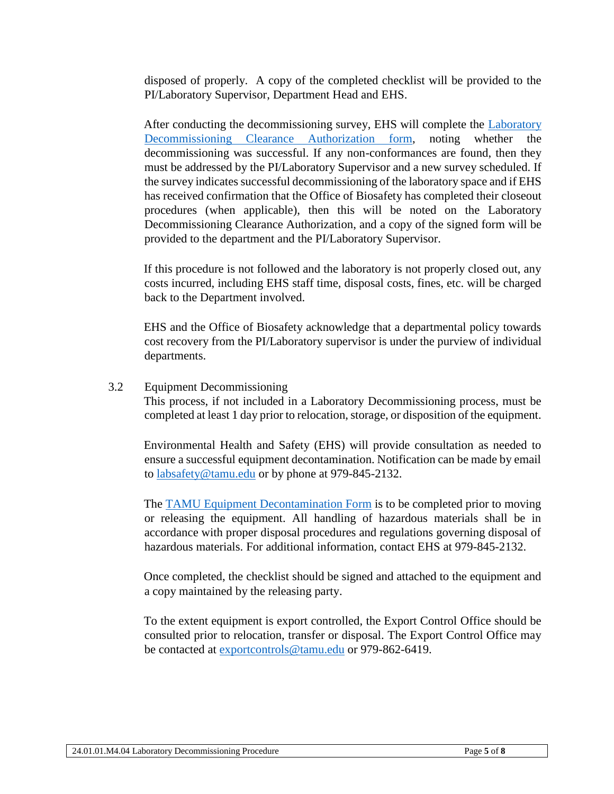disposed of properly. A copy of the completed checklist will be provided to the PI/Laboratory Supervisor, Department Head and EHS.

After conducting the decommissioning survey, EHS will complete the [Laboratory](https://ehsd.tamu.edu/Lab%20Safety%20Forms/Laboratory%20Decommissioning%20Clearance%20Authorization.pdf)  [Decommissioning Clearance Authorization](https://ehsd.tamu.edu/Lab%20Safety%20Forms/Laboratory%20Decommissioning%20Clearance%20Authorization.pdf) form, noting whether the decommissioning was successful. If any non-conformances are found, then they must be addressed by the PI/Laboratory Supervisor and a new survey scheduled. If the survey indicates successful decommissioning of the laboratory space and if EHS has received confirmation that the Office of Biosafety has completed their closeout procedures (when applicable), then this will be noted on the Laboratory Decommissioning Clearance Authorization, and a copy of the signed form will be provided to the department and the PI/Laboratory Supervisor.

If this procedure is not followed and the laboratory is not properly closed out, any costs incurred, including EHS staff time, disposal costs, fines, etc. will be charged back to the Department involved.

EHS and the Office of Biosafety acknowledge that a departmental policy towards cost recovery from the PI/Laboratory supervisor is under the purview of individual departments.

#### 3.2 Equipment Decommissioning

This process, if not included in a Laboratory Decommissioning process, must be completed at least 1 day prior to relocation, storage, or disposition of the equipment.

Environmental Health and Safety (EHS) will provide consultation as needed to ensure a successful equipment decontamination. Notification can be made by email to [labsafety@tamu.edu](mailto:ehsd@tamu.edu) or by phone at 979-845-2132.

The [TAMU Equipment Decontamination Form](https://ehsd.tamu.edu/Pages/SurplusLabEquipment.aspx) is to be completed prior to moving or releasing the equipment. All handling of hazardous materials shall be in accordance with proper disposal procedures and regulations governing disposal of hazardous materials. For additional information, contact EHS at 979-845-2132.

Once completed, the checklist should be signed and attached to the equipment and a copy maintained by the releasing party.

To the extent equipment is export controlled, the Export Control Office should be consulted prior to relocation, transfer or disposal. The Export Control Office may be contacted at [exportcontrols@tamu.edu](mailto:exportcontrols@tamu.edu) or 979-862-6419.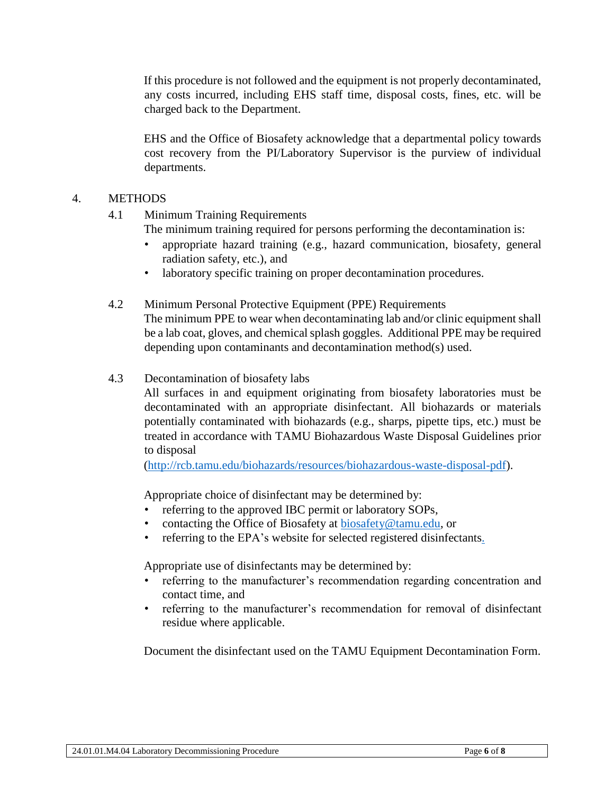If this procedure is not followed and the equipment is not properly decontaminated, any costs incurred, including EHS staff time, disposal costs, fines, etc. will be charged back to the Department.

EHS and the Office of Biosafety acknowledge that a departmental policy towards cost recovery from the PI/Laboratory Supervisor is the purview of individual departments.

### 4. METHODS

- 4.1 Minimum Training Requirements
	- The minimum training required for persons performing the decontamination is:
	- appropriate hazard training (e.g., hazard communication, biosafety, general radiation safety, etc.), and
	- laboratory specific training on proper decontamination procedures.
- 4.2 Minimum Personal Protective Equipment (PPE) Requirements The minimum PPE to wear when decontaminating lab and/or clinic equipment shall be a lab coat, gloves, and chemical splash goggles. Additional PPE may be required depending upon contaminants and decontamination method(s) used.
- 4.3 Decontamination of biosafety labs
	- All surfaces in and equipment originating from biosafety laboratories must be decontaminated with an appropriate disinfectant. All biohazards or materials potentially contaminated with biohazards (e.g., sharps, pipette tips, etc.) must be treated in accordance with TAMU Biohazardous Waste Disposal Guidelines prior to disposal

[\(http://rcb.tamu.edu/biohazards/resources/biohazardous-waste-disposal-pdf\)](http://rcb.tamu.edu/biohazards/resources/biohazardous-waste-disposal-pdf).

Appropriate choice of disinfectant may be determined by:

- referring to the approved IBC permit or laboratory SOPs,
- contacting the Office of Biosafety at [biosafety@tamu.edu,](mailto:biosafety@tamu.edu) or
- referring to the EPA's website for selected registered disinfectants.

Appropriate use of disinfectants may be determined by:

- referring to the manufacturer's recommendation regarding concentration and contact time, and
- referring to the manufacturer's recommendation for removal of disinfectant residue where applicable.

Document the disinfectant used on the TAMU Equipment Decontamination Form.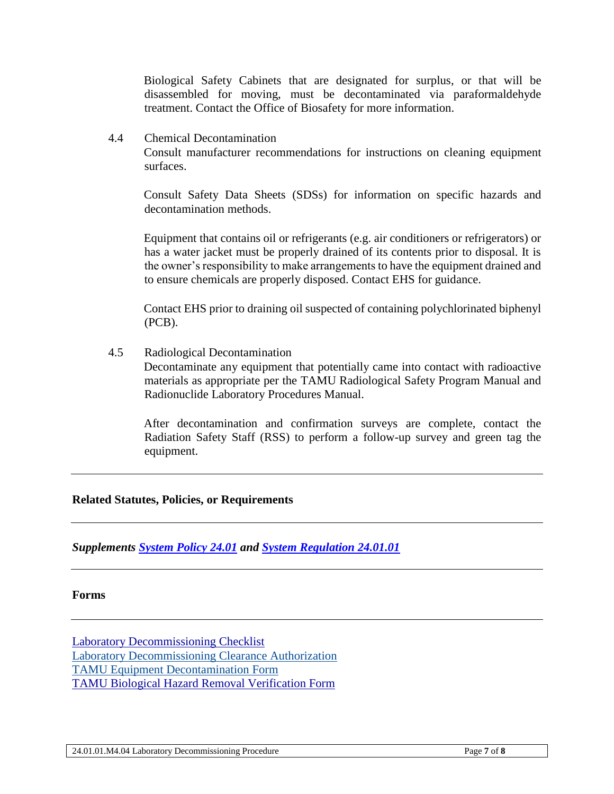Biological Safety Cabinets that are designated for surplus, or that will be disassembled for moving, must be decontaminated via paraformaldehyde treatment. Contact the Office of Biosafety for more information.

4.4 Chemical Decontamination

Consult manufacturer recommendations for instructions on cleaning equipment surfaces.

Consult Safety Data Sheets (SDSs) for information on specific hazards and decontamination methods.

Equipment that contains oil or refrigerants (e.g. air conditioners or refrigerators) or has a water jacket must be properly drained of its contents prior to disposal. It is the owner's responsibility to make arrangements to have the equipment drained and to ensure chemicals are properly disposed. Contact EHS for guidance.

Contact EHS prior to draining oil suspected of containing polychlorinated biphenyl (PCB).

4.5 Radiological Decontamination

Decontaminate any equipment that potentially came into contact with radioactive materials as appropriate per the TAMU Radiological Safety Program Manual and Radionuclide Laboratory Procedures Manual.

After decontamination and confirmation surveys are complete, contact the Radiation Safety Staff (RSS) to perform a follow-up survey and green tag the equipment.

#### **Related Statutes, Policies, or Requirements**

*Supplements [System Policy 24.01](http://policies.tamus.edu/24-01.pdf) and [System Regulation 24.01.01](http://policies.tamus.edu/24-01-01.pdf)*

#### **Forms**

[Laboratory Decommissioning Checklist](https://ehsd.tamu.edu/Lab%20Safety%20Forms/Laboratory%20Decommissioning%20Checklist.pdf) [Laboratory Decommissioning Clearance Authorization](https://ehsd.tamu.edu/Pages/Lab-RegDecom.aspx) TAMU [Equipment Decontamination Form](https://ehsd.tamu.edu/Pages/SurplusLabEquipment.aspx) [TAMU Biological Hazard Removal Verification Form](http://rcb.tamu.edu/biohazards/resources/tamu-biosafety-lab-decommission-checklist)